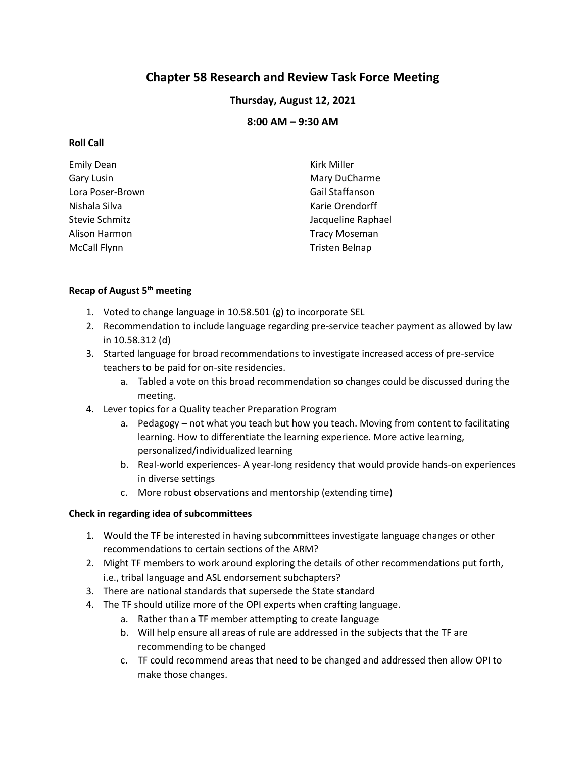# **Chapter 58 Research and Review Task Force Meeting**

## **Thursday, August 12, 2021**

## **8:00 AM – 9:30 AM**

#### **Roll Call**

| <b>Emily Dean</b>     | <b>Kirk Miller</b>    |
|-----------------------|-----------------------|
| Gary Lusin            | Mary DuCharme         |
| Lora Poser-Brown      | Gail Staffanson       |
| Nishala Silva         | Karie Orendorff       |
| <b>Stevie Schmitz</b> | Jacqueline Raphael    |
| Alison Harmon         | <b>Tracy Moseman</b>  |
| McCall Flynn          | <b>Tristen Belnap</b> |
|                       |                       |

### **Recap of August 5th meeting**

- 1. Voted to change language in 10.58.501 (g) to incorporate SEL
- 2. Recommendation to include language regarding pre-service teacher payment as allowed by law in 10.58.312 (d)
- 3. Started language for broad recommendations to investigate increased access of pre-service teachers to be paid for on-site residencies.
	- a. Tabled a vote on this broad recommendation so changes could be discussed during the meeting.
- 4. Lever topics for a Quality teacher Preparation Program
	- a. Pedagogy not what you teach but how you teach. Moving from content to facilitating learning. How to differentiate the learning experience. More active learning, personalized/individualized learning
	- b. Real-world experiences- A year-long residency that would provide hands-on experiences in diverse settings
	- c. More robust observations and mentorship (extending time)

#### **Check in regarding idea of subcommittees**

- 1. Would the TF be interested in having subcommittees investigate language changes or other recommendations to certain sections of the ARM?
- 2. Might TF members to work around exploring the details of other recommendations put forth, i.e., tribal language and ASL endorsement subchapters?
- 3. There are national standards that supersede the State standard
- 4. The TF should utilize more of the OPI experts when crafting language.
	- a. Rather than a TF member attempting to create language
	- b. Will help ensure all areas of rule are addressed in the subjects that the TF are recommending to be changed
	- c. TF could recommend areas that need to be changed and addressed then allow OPI to make those changes.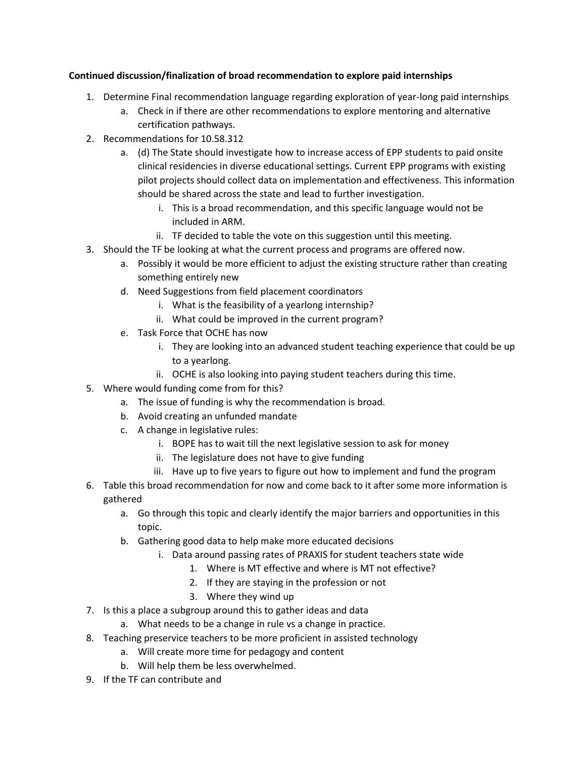### **Continued discussion/finalization of broad recommendation to explore paid internships**

- 1. Determine Final recommendation language regarding exploration of year-long paid internships
	- a. Check in if there are other recommendations to explore mentoring and alternative certification pathways.
- 2. Recommendations for 10.58.312
	- a. (d) The State should investigate how to increase access of EPP students to paid onsite clinical residencies in diverse educational settings. Current EPP programs with existing pilot projects should collect data on implementation and effectiveness. This information should be shared across the state and lead to further investigation.
		- i. This is a broad recommendation, and this specific language would not be included in ARM.
		- ii. TF decided to table the vote on this suggestion until this meeting.
- 3. Should the TF be looking at what the current process and programs are offered now.
	- a. Possibly it would be more efficient to adjust the existing structure rather than creating something entirely new
	- d. Need Suggestions from field placement coordinators
		- i. What is the feasibility of a yearlong internship?
		- ii. What could be improved in the current program?
	- e. Task Force that OCHE has now
		- i. They are looking into an advanced student teaching experience that could be up to a yearlong.
		- ii. OCHE is also looking into paying student teachers during this time.
- 5. Where would funding come from for this?
	- a. The issue of funding is why the recommendation is broad.
	- b. Avoid creating an unfunded mandate
	- c. A change in legislative rules:
		- i. BOPE has to wait till the next legislative session to ask for money
		- ii. The legislature does not have to give funding
		- iii. Have up to five years to figure out how to implement and fund the program
- 6. Table this broad recommendation for now and come back to it after some more information is gathered
	- a. Go through this topic and clearly identify the major barriers and opportunities in this topic.
	- b. Gathering good data to help make more educated decisions
		- i. Data around passing rates of PRAXIS for student teachers state wide
			- 1. Where is MT effective and where is MT not effective?
			- 2. If they are staying in the profession or not
			- 3. Where they wind up
- 7. Is this a place a subgroup around this to gather ideas and data
	- a. What needs to be a change in rule vs a change in practice.
- 8. Teaching preservice teachers to be more proficient in assisted technology
	- a. Will create more time for pedagogy and content
	- b. Will help them be less overwhelmed.
- 9. If the TF can contribute and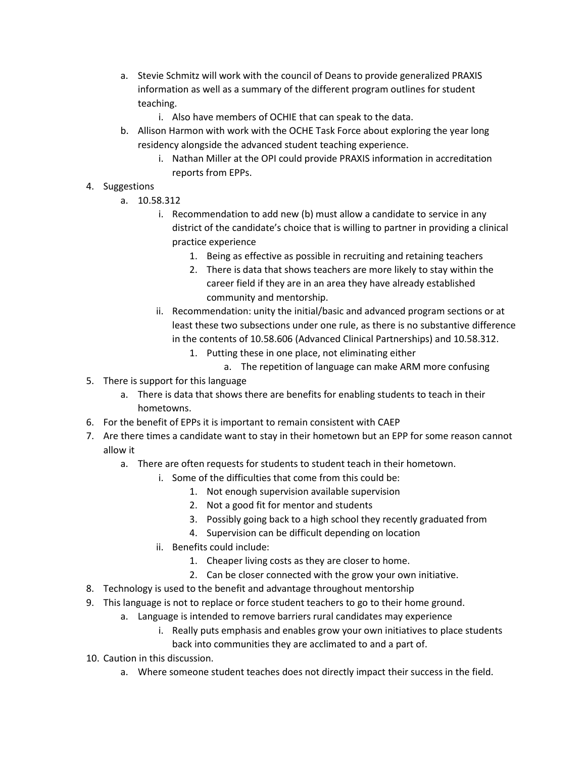- a. Stevie Schmitz will work with the council of Deans to provide generalized PRAXIS information as well as a summary of the different program outlines for student teaching.
	- i. Also have members of OCHIE that can speak to the data.
- b. Allison Harmon with work with the OCHE Task Force about exploring the year long residency alongside the advanced student teaching experience.
	- i. Nathan Miller at the OPI could provide PRAXIS information in accreditation reports from EPPs.
- 4. Suggestions
	- a. 10.58.312
		- i. Recommendation to add new (b) must allow a candidate to service in any district of the candidate's choice that is willing to partner in providing a clinical practice experience
			- 1. Being as effective as possible in recruiting and retaining teachers
			- 2. There is data that shows teachers are more likely to stay within the career field if they are in an area they have already established community and mentorship.
		- ii. Recommendation: unity the initial/basic and advanced program sections or at least these two subsections under one rule, as there is no substantive difference in the contents of 10.58.606 (Advanced Clinical Partnerships) and 10.58.312.
			- 1. Putting these in one place, not eliminating either
				- a. The repetition of language can make ARM more confusing
- 5. There is support for this language
	- a. There is data that shows there are benefits for enabling students to teach in their hometowns.
- 6. For the benefit of EPPs it is important to remain consistent with CAEP
- 7. Are there times a candidate want to stay in their hometown but an EPP for some reason cannot allow it
	- a. There are often requests for students to student teach in their hometown.
		- i. Some of the difficulties that come from this could be:
			- 1. Not enough supervision available supervision
			- 2. Not a good fit for mentor and students
			- 3. Possibly going back to a high school they recently graduated from
			- 4. Supervision can be difficult depending on location
		- ii. Benefits could include:
			- 1. Cheaper living costs as they are closer to home.
			- 2. Can be closer connected with the grow your own initiative.
- 8. Technology is used to the benefit and advantage throughout mentorship
- 9. This language is not to replace or force student teachers to go to their home ground.
	- a. Language is intended to remove barriers rural candidates may experience
		- i. Really puts emphasis and enables grow your own initiatives to place students back into communities they are acclimated to and a part of.
- 10. Caution in this discussion.
	- a. Where someone student teaches does not directly impact their success in the field.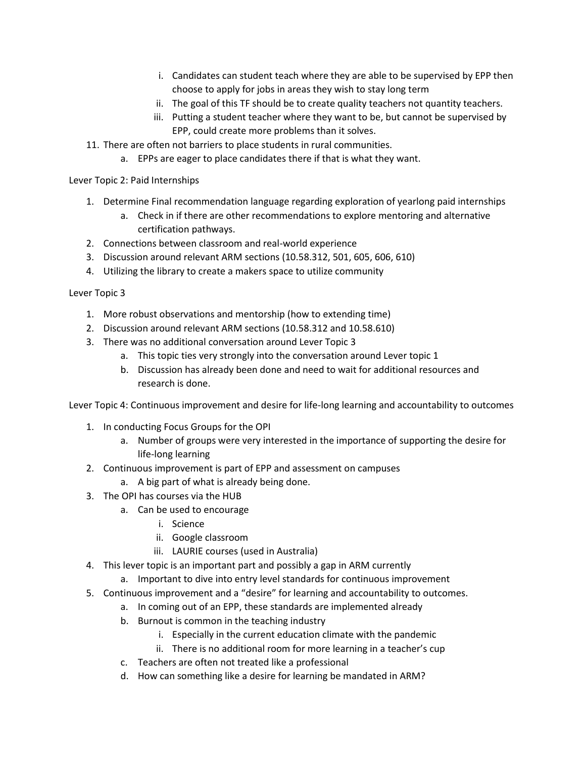- i. Candidates can student teach where they are able to be supervised by EPP then choose to apply for jobs in areas they wish to stay long term
- ii. The goal of this TF should be to create quality teachers not quantity teachers.
- iii. Putting a student teacher where they want to be, but cannot be supervised by EPP, could create more problems than it solves.
- 11. There are often not barriers to place students in rural communities.
	- a. EPPs are eager to place candidates there if that is what they want.

Lever Topic 2: Paid Internships

- 1. Determine Final recommendation language regarding exploration of yearlong paid internships
	- a. Check in if there are other recommendations to explore mentoring and alternative certification pathways.
- 2. Connections between classroom and real-world experience
- 3. Discussion around relevant ARM sections (10.58.312, 501, 605, 606, 610)
- 4. Utilizing the library to create a makers space to utilize community

Lever Topic 3

- 1. More robust observations and mentorship (how to extending time)
- 2. Discussion around relevant ARM sections (10.58.312 and 10.58.610)
- 3. There was no additional conversation around Lever Topic 3
	- a. This topic ties very strongly into the conversation around Lever topic 1
	- b. Discussion has already been done and need to wait for additional resources and research is done.

Lever Topic 4: Continuous improvement and desire for life-long learning and accountability to outcomes

- 1. In conducting Focus Groups for the OPI
	- a. Number of groups were very interested in the importance of supporting the desire for life-long learning
- 2. Continuous improvement is part of EPP and assessment on campuses
	- a. A big part of what is already being done.
- 3. The OPI has courses via the HUB
	- a. Can be used to encourage
		- i. Science
		- ii. Google classroom
		- iii. LAURIE courses (used in Australia)
- 4. This lever topic is an important part and possibly a gap in ARM currently
	- a. Important to dive into entry level standards for continuous improvement
- 5. Continuous improvement and a "desire" for learning and accountability to outcomes.
	- a. In coming out of an EPP, these standards are implemented already
	- b. Burnout is common in the teaching industry
		- i. Especially in the current education climate with the pandemic
		- ii. There is no additional room for more learning in a teacher's cup
	- c. Teachers are often not treated like a professional
	- d. How can something like a desire for learning be mandated in ARM?